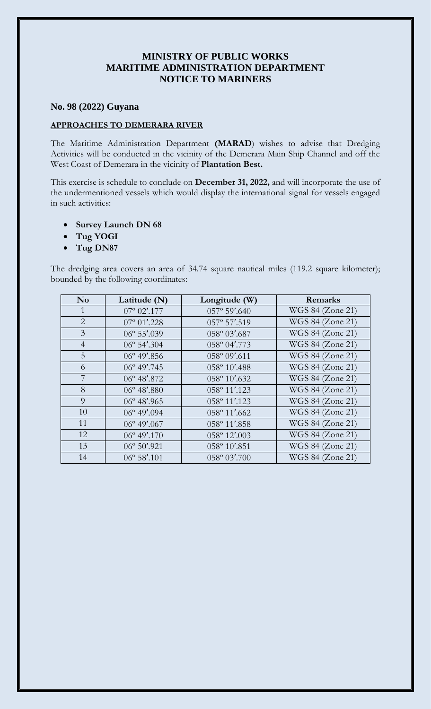## **MINISTRY OF PUBLIC WORKS MARITIME ADMINISTRATION DEPARTMENT NOTICE TO MARINERS**

## **No. 98 (2022) Guyana**

## **APPROACHES TO DEMERARA RIVER**

The Maritime Administration Department **(MARAD**) wishes to advise that Dredging Activities will be conducted in the vicinity of the Demerara Main Ship Channel and off the West Coast of Demerara in the vicinity of **Plantation Best.**

This exercise is schedule to conclude on **December 31, 2022,** and will incorporate the use of the undermentioned vessels which would display the international signal for vessels engaged in such activities:

- **Survey Launch DN 68**
- **Tug YOGI**
- **Tug DN87**

The dredging area covers an area of 34.74 square nautical miles (119.2 square kilometer); bounded by the following coordinates:

| N <sub>0</sub> | Latitude (N)          | Longitude (W)         | Remarks          |
|----------------|-----------------------|-----------------------|------------------|
| 1              | $07^{\circ}$ 02'.177  | $057^{\circ}$ 59'.640 | WGS 84 (Zone 21) |
| $\overline{2}$ | $07^{\circ} 01'$ .228 | 057° 57'.519          | WGS 84 (Zone 21) |
| $\overline{3}$ | $06^{\circ} 55'$ .039 | 058° 03'.687          | WGS 84 (Zone 21) |
| $\overline{4}$ | $06^{\circ}$ 54'.304  | 058° 04'.773          | WGS 84 (Zone 21) |
| 5              | $06^{\circ}$ 49'.856  | 058° 09'.611          | WGS 84 (Zone 21) |
| 6              | $06^{\circ}$ 49'.745  | 058° 10'.488          | WGS 84 (Zone 21) |
| 7              | $06^{\circ}$ 48'.872  | 058° 10'.632          | WGS 84 (Zone 21) |
| 8              | $06^{\circ}$ 48'.880  | 058° 11'.123          | WGS 84 (Zone 21) |
| 9              | $06^{\circ}$ 48'.965  | 058° 11'.123          | WGS 84 (Zone 21) |
| 10             | $06^{\circ}$ 49'.094  | 058° 11'.662          | WGS 84 (Zone 21) |
| 11             | $06^{\circ}$ 49'.067  | 058° 11'.858          | WGS 84 (Zone 21) |
| 12             | $06^{\circ}$ 49'.170  | 058° 12'.003          | WGS 84 (Zone 21) |
| 13             | $06^{\circ} 50'$ .921 | 058° 10'.851          | WGS 84 (Zone 21) |
| 14             | $06^{\circ} 58'$ .101 | 058° 03'.700          | WGS 84 (Zone 21) |